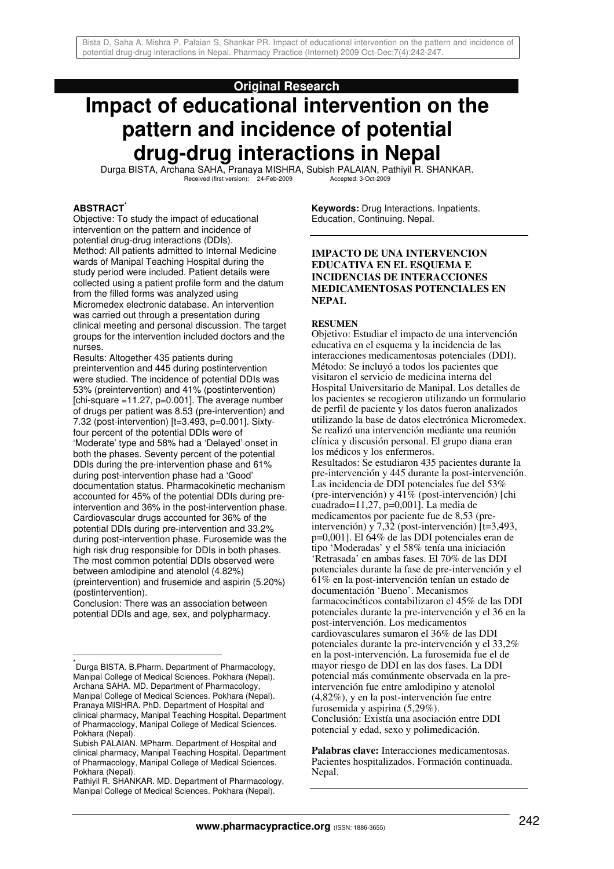# **Original Research**

# **Impact of educational intervention on the pattern and incidence of potential drug-drug interactions in Nepal**

Durga BISTA, Archana SAHA, Pranaya MISHRA, Subish PALAIAN, Pathiyil R. SHANKAR. Received (first version): 24-Feb-2009 Accepted: 3-Oct-2009

#### **ABSTRACT\***

Objective: To study the impact of educational intervention on the pattern and incidence of potential drug-drug interactions (DDIs). Method: All patients admitted to Internal Medicine wards of Manipal Teaching Hospital during the study period were included. Patient details were collected using a patient profile form and the datum from the filled forms was analyzed using Micromedex electronic database. An intervention was carried out through a presentation during clinical meeting and personal discussion. The target groups for the intervention included doctors and the nurses.

Results: Altogether 435 patients during preintervention and 445 during postintervention were studied. The incidence of potential DDIs was 53% (preintervention) and 41% (postintervention) [chi-square  $=11.27$ , p=0.001]. The average number of drugs per patient was 8.53 (pre-intervention) and 7.32 (post-intervention) [t=3.493, p=0.001]. Sixtyfour percent of the potential DDIs were of 'Moderate' type and 58% had a 'Delayed' onset in both the phases. Seventy percent of the potential DDIs during the pre-intervention phase and 61% during post-intervention phase had a 'Good' documentation status. Pharmacokinetic mechanism accounted for 45% of the potential DDIs during preintervention and 36% in the post-intervention phase. Cardiovascular drugs accounted for 36% of the potential DDIs during pre-intervention and 33.2% during post-intervention phase. Furosemide was the high risk drug responsible for DDIs in both phases. The most common potential DDIs observed were between amlodipine and atenolol (4.82%) (preintervention) and frusemide and aspirin (5.20%) (postintervention).

Conclusion: There was an association between potential DDIs and age, sex, and polypharmacy.

 $\overline{1}$ 

**Keywords:** Drug Interactions. Inpatients. Education, Continuing. Nepal.

### **IMPACTO DE UNA INTERVENCION EDUCATIVA EN EL ESQUEMA E INCIDENCIAS DE INTERACCIONES MEDICAMENTOSAS POTENCIALES EN NEPAL**

#### **RESUMEN**

Objetivo: Estudiar el impacto de una intervención educativa en el esquema y la incidencia de las interacciones medicamentosas potenciales (DDI). Método: Se incluyó a todos los pacientes que visitaron el servicio de medicina interna del Hospital Universitario de Manipal. Los detalles de los pacientes se recogieron utilizando un formulario de perfil de paciente y los datos fueron analizados utilizando la base de datos electrónica Micromedex. Se realizó una intervención mediante una reunión clínica y discusión personal. El grupo diana eran los médicos y los enfermeros. Resultados: Se estudiaron 435 pacientes durante la pre-intervención y 445 durante la post-intervención. Las incidencia de DDI potenciales fue del 53% (pre-intervención) y 41% (post-intervención) [chi cuadrado=11,27, p=0,001]. La media de medicamentos por paciente fue de 8,53 (preintervención) y 7,32 (post-intervención) [t=3,493, p=0,001]. El 64% de las DDI potenciales eran de tipo 'Moderadas' y el 58% tenía una iniciación 'Retrasada' en ambas fases. El 70% de las DDI potenciales durante la fase de pre-intervención y el 61% en la post-intervención tenían un estado de documentación 'Bueno'. Mecanismos farmacocinéticos contabilizaron el 45% de las DDI potenciales durante la pre-intervención y el 36 en la post-intervención. Los medicamentos cardiovasculares sumaron el 36% de las DDI potenciales durante la pre-intervención y el 33,2% en la post-intervención. La furosemida fue el de mayor riesgo de DDI en las dos fases. La DDI potencial más comúnmente observada en la preintervención fue entre amlodipino y atenolol (4,82%), y en la post-intervención fue entre furosemida y aspirina (5,29%). Conclusión: Existía una asociación entre DDI potencial y edad, sexo y polimedicación.

**Palabras clave:** Interacciones medicamentosas. Pacientes hospitalizados. Formación continuada. Nepal.

<sup>\*</sup> Durga BISTA. B.Pharm. Department of Pharmacology, Manipal College of Medical Sciences. Pokhara (Nepal). Archana SAHA. MD. Department of Pharmacology, Manipal College of Medical Sciences. Pokhara (Nepal). Pranaya MISHRA. PhD. Department of Hospital and clinical pharmacy, Manipal Teaching Hospital. Department of Pharmacology, Manipal College of Medical Sciences. Pokhara (Nepal).

Subish PALAIAN. MPharm. Department of Hospital and clinical pharmacy, Manipal Teaching Hospital. Department of Pharmacology, Manipal College of Medical Sciences. Pokhara (Nepal).

Pathiyil R. SHANKAR. MD. Department of Pharmacology, Manipal College of Medical Sciences. Pokhara (Nepal).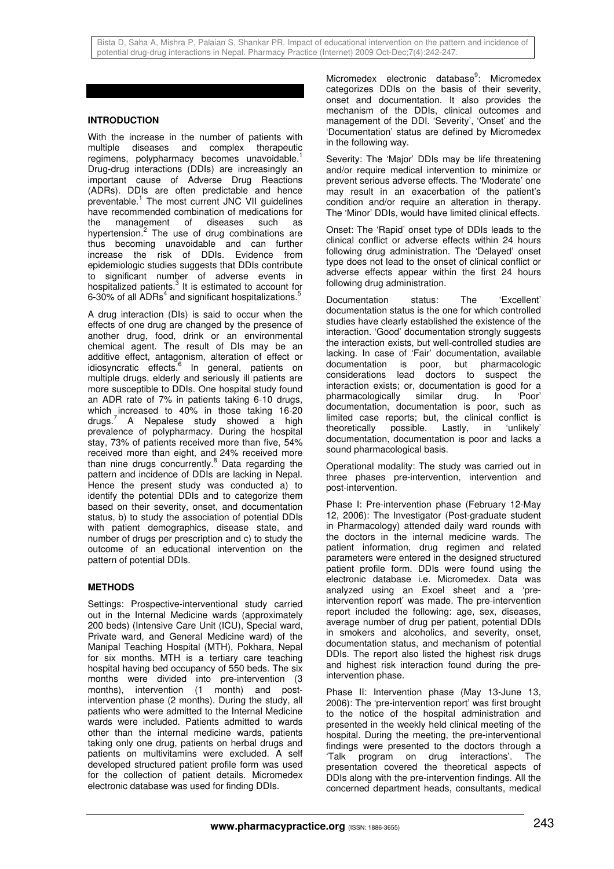## **INTRODUCTION**

With the increase in the number of patients with multiple diseases and complex therapeutic regimens, polypharmacy becomes unavoidable.<sup>1</sup> Drug-drug interactions (DDIs) are increasingly an important cause of Adverse Drug Reactions (ADRs). DDIs are often predictable and hence preventable.<sup>1</sup> The most current JNC VII guidelines have recommended combination of medications for the management of diseases such as hypertension.<sup>2</sup> The use of drug combinations are thus becoming unavoidable and can further increase the risk of DDIs. Evidence from epidemiologic studies suggests that DDIs contribute to significant number of adverse events in hospitalized patients. $3$  It is estimated to account for 6-30% of all ADRs<sup>4</sup> and significant hospitalizations.<sup>5</sup>

A drug interaction (DIs) is said to occur when the effects of one drug are changed by the presence of another drug, food, drink or an environmental chemical agent. The result of DIs may be an additive effect, antagonism, alteration of effect or idiosyncratic effects.<sup>6</sup> In general, patients on multiple drugs, elderly and seriously ill patients are more susceptible to DDIs. One hospital study found an ADR rate of 7% in patients taking 6-10 drugs, which increased to 40% in those taking 16-20 drugs.<sup>7</sup> A Nepalese study showed a high prevalence of polypharmacy. During the hospital stay, 73% of patients received more than five, 54% received more than eight, and 24% received more than nine drugs concurrently.<sup>8</sup> Data regarding the pattern and incidence of DDIs are lacking in Nepal. Hence the present study was conducted a) to identify the potential DDIs and to categorize them based on their severity, onset, and documentation status, b) to study the association of potential DDIs with patient demographics, disease state, and number of drugs per prescription and c) to study the outcome of an educational intervention on the pattern of potential DDIs.

# **METHODS**

Settings: Prospective-interventional study carried out in the Internal Medicine wards (approximately 200 beds) (Intensive Care Unit (ICU), Special ward, Private ward, and General Medicine ward) of the Manipal Teaching Hospital (MTH), Pokhara, Nepal for six months. MTH is a tertiary care teaching hospital having bed occupancy of 550 beds. The six months were divided into pre-intervention (3 months), intervention (1 month) and postintervention phase (2 months). During the study, all patients who were admitted to the Internal Medicine wards were included. Patients admitted to wards other than the internal medicine wards, patients taking only one drug, patients on herbal drugs and patients on multivitamins were excluded. A self developed structured patient profile form was used for the collection of patient details. Micromedex electronic database was used for finding DDIs.

Micromedex electronic database<sup>9</sup>: Micromedex categorizes DDIs on the basis of their severity, onset and documentation. It also provides the mechanism of the DDIs, clinical outcomes and management of the DDI. 'Severity', 'Onset' and the 'Documentation' status are defined by Micromedex in the following way.

Severity: The 'Major' DDIs may be life threatening and/or require medical intervention to minimize or prevent serious adverse effects. The 'Moderate' one may result in an exacerbation of the patient's condition and/or require an alteration in therapy. The 'Minor' DDIs, would have limited clinical effects.

Onset: The 'Rapid' onset type of DDIs leads to the clinical conflict or adverse effects within 24 hours following drug administration. The 'Delayed' onset type does not lead to the onset of clinical conflict or adverse effects appear within the first 24 hours following drug administration.

Documentation status: The 'Excellent' documentation status is the one for which controlled studies have clearly established the existence of the interaction. 'Good' documentation strongly suggests the interaction exists, but well-controlled studies are lacking. In case of 'Fair' documentation, available documentation is poor, but pharmacologic considerations lead doctors to suspect the interaction exists; or, documentation is good for a pharmacologically similar drug. In 'Poor' documentation, documentation is poor, such as limited case reports; but, the clinical conflict is theoretically possible. Lastly, in 'unlikely' documentation, documentation is poor and lacks a sound pharmacological basis.

Operational modality: The study was carried out in three phases pre-intervention, intervention and post-intervention.

Phase I: Pre-intervention phase (February 12-May 12, 2006): The Investigator (Post-graduate student in Pharmacology) attended daily ward rounds with the doctors in the internal medicine wards. The patient information, drug regimen and related parameters were entered in the designed structured patient profile form. DDIs were found using the electronic database i.e. Micromedex. Data was analyzed using an Excel sheet and a 'preintervention report' was made. The pre-intervention report included the following: age, sex, diseases, average number of drug per patient, potential DDIs in smokers and alcoholics, and severity, onset, documentation status, and mechanism of potential DDIs. The report also listed the highest risk drugs and highest risk interaction found during the preintervention phase.

Phase II: Intervention phase (May 13-June 13, 2006): The 'pre-intervention report' was first brought to the notice of the hospital administration and presented in the weekly held clinical meeting of the hospital. During the meeting, the pre-interventional findings were presented to the doctors through a 'Talk program on drug interactions'. The presentation covered the theoretical aspects of DDIs along with the pre-intervention findings. All the concerned department heads, consultants, medical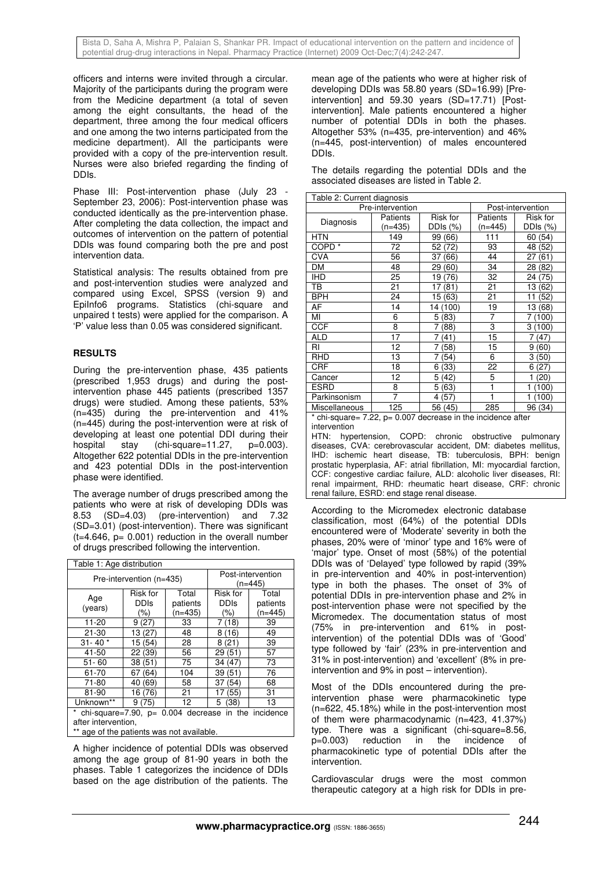Bista D, Saha A, Mishra P, Palaian S, Shankar PR. Impact of educational intervention on the pattern and incidence of potential drug-drug interactions in Nepal. Pharmacy Practice (Internet) 2009 Oct-Dec;7(4):242-247.

officers and interns were invited through a circular. Majority of the participants during the program were from the Medicine department (a total of seven among the eight consultants, the head of the department, three among the four medical officers and one among the two interns participated from the medicine department). All the participants were provided with a copy of the pre-intervention result. Nurses were also briefed regarding the finding of DDIs.

Phase III: Post-intervention phase (July 23 September 23, 2006): Post-intervention phase was conducted identically as the pre-intervention phase. After completing the data collection, the impact and outcomes of intervention on the pattern of potential DDIs was found comparing both the pre and post intervention data.

Statistical analysis: The results obtained from pre and post-intervention studies were analyzed and compared using Excel, SPSS (version 9) and EpiInfo6 programs. Statistics (chi-square and unpaired t tests) were applied for the comparison. A 'P' value less than 0.05 was considered significant.

### **RESULTS**

During the pre-intervention phase, 435 patients (prescribed 1,953 drugs) and during the postintervention phase 445 patients (prescribed 1357 drugs) were studied. Among these patients, 53% (n=435) during the pre-intervention and 41% (n=445) during the post-intervention were at risk of developing at least one potential DDI during their hospital stay (chi-square=11.27, p=0.003). Altogether 622 potential DDIs in the pre-intervention and 423 potential DDIs in the post-intervention phase were identified.

The average number of drugs prescribed among the patients who were at risk of developing DDIs was<br>8.53 (SD=4.03) (pre-intervention) and 7.32  $(pre\text{-}intervention)$  and 7.32 (SD=3.01) (post-intervention). There was significant  $(t=4.646, p= 0.001)$  reduction in the overall number of drugs prescribed following the intervention.

| Table 1: Age distribution                                                                                                 |                                    |                                |                                |                              |  |  |  |  |
|---------------------------------------------------------------------------------------------------------------------------|------------------------------------|--------------------------------|--------------------------------|------------------------------|--|--|--|--|
|                                                                                                                           | Pre-intervention (n=435)           | Post-intervention<br>$(n=445)$ |                                |                              |  |  |  |  |
| Age<br>(years)                                                                                                            | Risk for<br><b>DDIs</b><br>$(\% )$ | Total<br>patients<br>$(n=435)$ | <b>Risk for</b><br>DDIs<br>(%) | Total<br>patients<br>(n=445) |  |  |  |  |
| 11-20                                                                                                                     | 9(27)                              | 33                             | 7 (18)                         | 39                           |  |  |  |  |
| 21-30                                                                                                                     | 13 (27)                            | 48                             | (16)<br>8                      | 49                           |  |  |  |  |
| $31 - 40*$                                                                                                                | 15 (54)                            | 28                             | 8 (21)                         | 39                           |  |  |  |  |
| 41-50                                                                                                                     | 22 (39)                            | 56                             | 29 (51)                        | 57                           |  |  |  |  |
| $51 - 60$                                                                                                                 | 38 (51)                            | 75                             | 34 (47)                        | 73                           |  |  |  |  |
| 61-70                                                                                                                     | 67 (64)                            | 104                            | 39<br>(51)                     | 76                           |  |  |  |  |
| 71-80                                                                                                                     | 58<br>40 (69)<br>37<br>(54)        |                                |                                | 68                           |  |  |  |  |
| 81-90                                                                                                                     | 16 (76)                            | 21                             | (55)<br>17                     | 31                           |  |  |  |  |
| Unknown**                                                                                                                 | 9 (75)                             | 12                             | 5<br>(38)                      | 13                           |  |  |  |  |
| chi-square=7.90, $p= 0.004$ decrease in the incidence<br>after intervention,<br>** age of the patients was not available. |                                    |                                |                                |                              |  |  |  |  |

A higher incidence of potential DDIs was observed among the age group of 81-90 years in both the phases. Table 1 categorizes the incidence of DDIs based on the age distribution of the patients. The

mean age of the patients who were at higher risk of developing DDIs was 58.80 years (SD=16.99) [Preintervention] and 59.30 years (SD=17.71) [Postintervention]. Male patients encountered a higher number of potential DDIs in both the phases. Altogether 53% (n=435, pre-intervention) and 46% (n=445, post-intervention) of males encountered DDIs.

The details regarding the potential DDIs and the associated diseases are listed in Table 2.

| Table 2: Current diagnosis                                                                   |                   |            |          |                    |  |  |  |  |
|----------------------------------------------------------------------------------------------|-------------------|------------|----------|--------------------|--|--|--|--|
| Pre-intervention                                                                             | Post-intervention |            |          |                    |  |  |  |  |
| Diagnosis                                                                                    | Patients          | Risk for   | Patients | Risk for           |  |  |  |  |
|                                                                                              | (n=435)           | DDIs (%)   | (n=445)  | DDIs (%)           |  |  |  |  |
| <b>HTN</b>                                                                                   | 149               | 99<br>(66  | 111      | (54)<br>60         |  |  |  |  |
| COPD <sup>*</sup>                                                                            | 72                | 52<br>(72) | 93       | (52)<br>48         |  |  |  |  |
| <b>CVA</b>                                                                                   | 56                | 37<br>66   | 44       | 27<br>(61)         |  |  |  |  |
| <b>DM</b>                                                                                    | 48                | 29<br>60   | 34       | (82)<br>28         |  |  |  |  |
| <b>IHD</b>                                                                                   | 25                | 19<br>(76) | 32       | 24<br>(75)         |  |  |  |  |
| ТB                                                                                           | 21                | 17<br>(81) | 21       | (62)<br>13         |  |  |  |  |
| <b>BPH</b>                                                                                   | 24                | (63)<br>15 | 21       | 11<br>(52)         |  |  |  |  |
| AF                                                                                           | 14                | 14 (100)   | 19       | (68)<br>13.        |  |  |  |  |
| MI                                                                                           | 6                 | 5(83)      | 7        | (100)<br>7         |  |  |  |  |
| <b>CCF</b>                                                                                   | 8                 | (88)       | 3        | 3<br>(100          |  |  |  |  |
| <b>ALD</b>                                                                                   | 17                | (41)       | 15       | (47)               |  |  |  |  |
| RI                                                                                           | 12                | 58)        | 15       | 9<br>(60)          |  |  |  |  |
| <b>RHD</b>                                                                                   | 13                | (54)       | 6        | 3<br>(50)          |  |  |  |  |
| <b>CRF</b>                                                                                   | 18                | (33)<br>6  | 22       | '27<br>6           |  |  |  |  |
| Cancer                                                                                       | 12                | (42)<br>5  | 5        | $^{\prime}20)$     |  |  |  |  |
| <b>ESRD</b>                                                                                  | 8                 | (63)<br>5  |          | 1<br>$100^{\circ}$ |  |  |  |  |
| Parkinsonism                                                                                 | 7                 | (57)<br>4  |          | $100^{\circ}$<br>1 |  |  |  |  |
| Miscellaneous                                                                                | 125               | 56<br>(45) | 285      | 96<br>(34)         |  |  |  |  |
| 1. Juli<br>700<br>٠.<br>◆ club courses<br>$0.027 \pm 1.0$<br>المستقلة المناد<br>$\mathbf{f}$ |                   |            |          |                    |  |  |  |  |

 $chi$ -square= 7.22, p= 0.007 decrease in the incidence after intervention

HTN: hypertension, COPD: chronic obstructive pulmonary diseases, CVA: cerebrovascular accident, DM: diabetes mellitus, IHD: ischemic heart disease, TB: tuberculosis, BPH: benign prostatic hyperplasia, AF: atrial fibrillation, MI: myocardial farction, CCF: congestive cardiac failure, ALD: alcoholic liver diseases, RI: renal impairment, RHD: rheumatic heart disease, CRF: chronic renal failure, ESRD: end stage renal disease.

According to the Micromedex electronic database classification, most (64%) of the potential DDIs encountered were of 'Moderate' severity in both the phases, 20% were of 'minor' type and 16% were of 'major' type. Onset of most (58%) of the potential DDIs was of 'Delayed' type followed by rapid (39% in pre-intervention and 40% in post-intervention) type in both the phases. The onset of 3% of potential DDIs in pre-intervention phase and 2% in post-intervention phase were not specified by the Micromedex. The documentation status of most (75% in pre-intervention and 61% in postintervention) of the potential DDIs was of 'Good' type followed by 'fair' (23% in pre-intervention and 31% in post-intervention) and 'excellent' (8% in preintervention and 9% in post – intervention).

Most of the DDIs encountered during the preintervention phase were pharmacokinetic type (n=622, 45.18%) while in the post-intervention most of them were pharmacodynamic (n=423, 41.37%) type. There was a significant (chi-square=8.56, p=0.003) reduction in the incidence of pharmacokinetic type of potential DDIs after the intervention.

Cardiovascular drugs were the most common therapeutic category at a high risk for DDIs in pre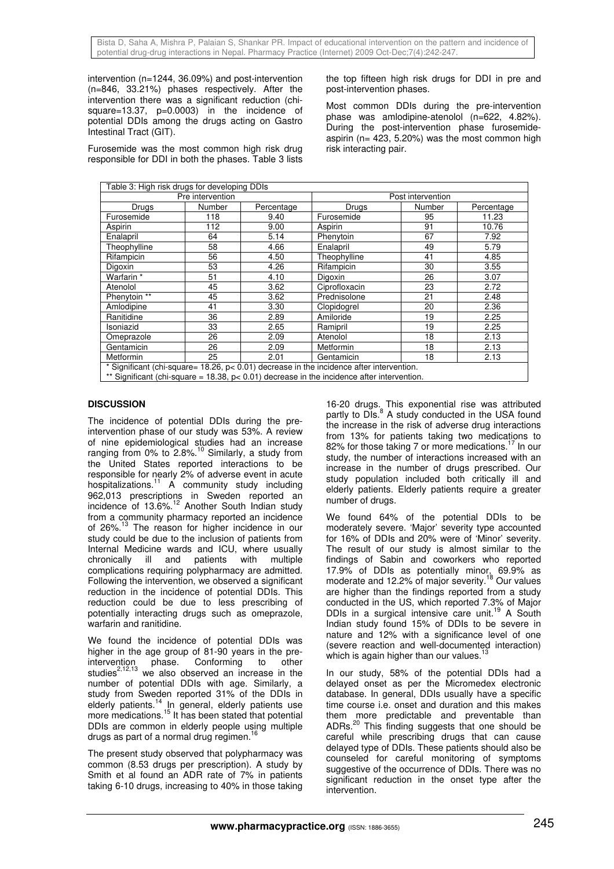intervention (n=1244, 36.09%) and post-intervention (n=846, 33.21%) phases respectively. After the intervention there was a significant reduction (chisquare=13.37, p=0.0003) in the incidence of potential DDIs among the drugs acting on Gastro Intestinal Tract (GIT).

Furosemide was the most common high risk drug responsible for DDI in both the phases. Table 3 lists the top fifteen high risk drugs for DDI in pre and post-intervention phases.

Most common DDIs during the pre-intervention phase was amlodipine-atenolol (n=622, 4.82%). During the post-intervention phase furosemideaspirin (n= 423, 5.20%) was the most common high risk interacting pair.

| Table 3: High risk drugs for developing DDIs                                                                                                                                                      |        |            |                   |        |            |  |  |
|---------------------------------------------------------------------------------------------------------------------------------------------------------------------------------------------------|--------|------------|-------------------|--------|------------|--|--|
| Pre intervention                                                                                                                                                                                  |        |            | Post intervention |        |            |  |  |
| Drugs                                                                                                                                                                                             | Number | Percentage | Drugs             | Number | Percentage |  |  |
| Furosemide                                                                                                                                                                                        | 118    | 9.40       | Furosemide        | 95     | 11.23      |  |  |
| Aspirin                                                                                                                                                                                           | 112    | 9.00       | Aspirin           | 91     | 10.76      |  |  |
| Enalapril                                                                                                                                                                                         | 64     | 5.14       | Phenytoin         | 67     | 7.92       |  |  |
| Theophylline                                                                                                                                                                                      | 58     | 4.66       | Enalapril         | 49     | 5.79       |  |  |
| Rifampicin                                                                                                                                                                                        | 56     | 4.50       | Theophylline      | 41     | 4.85       |  |  |
| Digoxin                                                                                                                                                                                           | 53     | 4.26       | Rifampicin        | 30     | 3.55       |  |  |
| Warfarin <sup>*</sup>                                                                                                                                                                             | 51     | 4.10       | Digoxin           | 26     | 3.07       |  |  |
| Atenolol                                                                                                                                                                                          | 45     | 3.62       | Ciprofloxacin     | 23     | 2.72       |  |  |
| Phenytoin <sup>**</sup>                                                                                                                                                                           | 45     | 3.62       | Prednisolone      | 21     | 2.48       |  |  |
| Amlodipine                                                                                                                                                                                        | 41     | 3.30       | Clopidogrel       | 20     | 2.36       |  |  |
| Ranitidine                                                                                                                                                                                        | 36     | 2.89       | Amiloride         | 19     | 2.25       |  |  |
| Isoniazid                                                                                                                                                                                         | 33     | 2.65       | Ramipril          | 19     | 2.25       |  |  |
| Omeprazole                                                                                                                                                                                        | 26     | 2.09       | Atenolol          | 18     | 2.13       |  |  |
| Gentamicin                                                                                                                                                                                        | 26     | 2.09       | Metformin         | 18     | 2.13       |  |  |
| Metformin                                                                                                                                                                                         | 25     | 2.01       | Gentamicin        | 18     | 2.13       |  |  |
| * Significant (chi-square= $18.26$ , $p < 0.01$ ) decrease in the incidence after intervention.<br>** Significant (chi-square = 18.38, $p < 0.01$ ) decrease in the incidence after intervention. |        |            |                   |        |            |  |  |

# **DISCUSSION**

The incidence of potential DDIs during the preintervention phase of our study was 53%. A review of nine epidemiological studies had an increase ranging from 0% to  $2.8\%$ .<sup>10</sup> Similarly, a study from the United States reported interactions to be responsible for nearly 2% of adverse event in acute hospitalizations.<sup>11</sup> A community study including 962,013 prescriptions in Sweden reported an incidence of 13.6%.<sup>12</sup> Another South Indian study from a community pharmacy reported an incidence of 26%.<sup>13</sup> The reason for higher incidence in our study could be due to the inclusion of patients from Internal Medicine wards and ICU, where usually chronically ill and patients with multiple complications requiring polypharmacy are admitted. Following the intervention, we observed a significant reduction in the incidence of potential DDIs. This reduction could be due to less prescribing of potentially interacting drugs such as omeprazole, warfarin and ranitidine.

We found the incidence of potential DDIs was higher in the age group of 81-90 years in the preintervention phase. Conforming to other studies<sup>2,12,13</sup> we also observed an increase in the number of potential DDIs with age. Similarly, a study from Sweden reported 31% of the DDIs in elderly patients.<sup>14</sup> In general, elderly patients use more medications.<sup>15</sup> It has been stated that potential DDIs are common in elderly people using multiple drugs as part of a normal drug regimen.

The present study observed that polypharmacy was common (8.53 drugs per prescription). A study by Smith et al found an ADR rate of 7% in patients taking 6-10 drugs, increasing to 40% in those taking 16-20 drugs. This exponential rise was attributed partly to DIs.<sup>8</sup> A study conducted in the USA found the increase in the risk of adverse drug interactions from 13% for patients taking two medications to 82% for those taking 7 or more medications.<sup>17</sup> In our study, the number of interactions increased with an increase in the number of drugs prescribed. Our study population included both critically ill and elderly patients. Elderly patients require a greater number of drugs.

We found 64% of the potential DDIs to be moderately severe. 'Major' severity type accounted for 16% of DDIs and 20% were of 'Minor' severity. The result of our study is almost similar to the findings of Sabin and coworkers who reported 17.9% of DDIs as potentially minor, 69.9% as moderate and 12.2% of major severity.<sup>18</sup> Our values are higher than the findings reported from a study conducted in the US, which reported 7.3% of Major DDIs in a surgical intensive care unit.<sup>19</sup> A South Indian study found 15% of DDIs to be severe in nature and 12% with a significance level of one (severe reaction and well-documented interaction) which is again higher than our values.<sup>1</sup>

In our study, 58% of the potential DDIs had a delayed onset as per the Micromedex electronic database. In general, DDIs usually have a specific time course i.e. onset and duration and this makes them more predictable and preventable than ADRs.<sup>20</sup> This finding suggests that one should be careful while prescribing drugs that can cause delayed type of DDIs. These patients should also be counseled for careful monitoring of symptoms suggestive of the occurrence of DDIs. There was no significant reduction in the onset type after the intervention.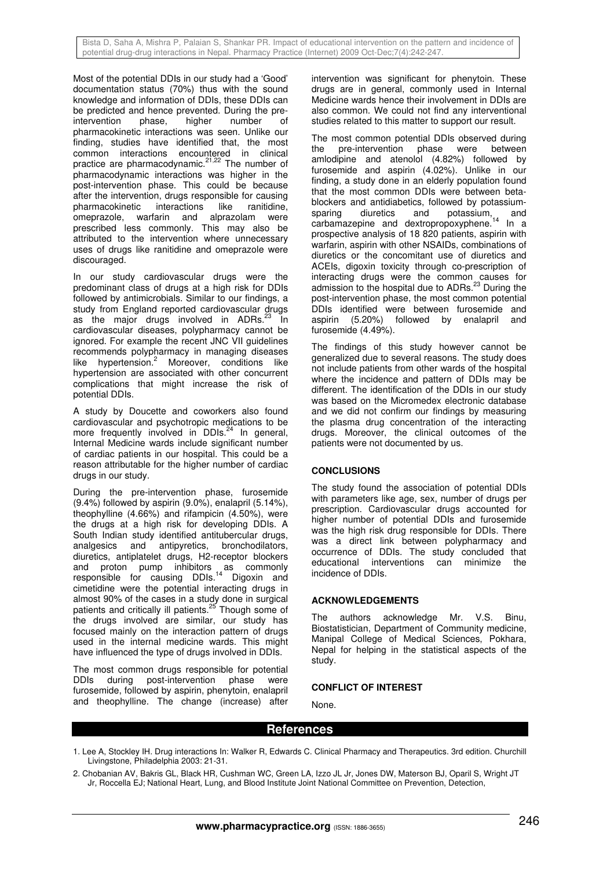Most of the potential DDIs in our study had a 'Good' documentation status (70%) thus with the sound knowledge and information of DDIs, these DDIs can be predicted and hence prevented. During the preintervention phase, higher number of pharmacokinetic interactions was seen. Unlike our finding, studies have identified that, the most common interactions encountered in clinical practice are pharmacodynamic.<sup>21,22</sup> The number of pharmacodynamic interactions was higher in the post-intervention phase. This could be because after the intervention, drugs responsible for causing<br>pharmacokinetic interactions like ranitidine. interactions like ranitidine. omeprazole, warfarin and alprazolam were prescribed less commonly. This may also be attributed to the intervention where unnecessary uses of drugs like ranitidine and omeprazole were discouraged.

In our study cardiovascular drugs were the predominant class of drugs at a high risk for DDIs followed by antimicrobials. Similar to our findings, a study from England reported cardiovascular drugs as the major drugs involved in ADRs.<sup>23</sup> In cardiovascular diseases, polypharmacy cannot be ignored. For example the recent JNC VII guidelines recommends polypharmacy in managing diseases like hypertension.<sup>2</sup> Moreover, conditions like hypertension are associated with other concurrent complications that might increase the risk of potential DDIs.

A study by Doucette and coworkers also found cardiovascular and psychotropic medications to be more frequently involved in DDIs.<sup>24</sup> In general, Internal Medicine wards include significant number of cardiac patients in our hospital. This could be a reason attributable for the higher number of cardiac drugs in our study.

During the pre-intervention phase, furosemide (9.4%) followed by aspirin (9.0%), enalapril (5.14%), theophylline (4.66%) and rifampicin (4.50%), were the drugs at a high risk for developing DDIs. A South Indian study identified antitubercular drugs, analgesics and antipyretics, bronchodilators, diuretics, antiplatelet drugs, H2-receptor blockers and proton pump inhibitors as commonly responsible for causing DDIs.<sup>14</sup> Digoxin and cimetidine were the potential interacting drugs in almost 90% of the cases in a study done in surgical patients and critically ill patients.<sup>25</sup> Though some of the drugs involved are similar, our study has focused mainly on the interaction pattern of drugs used in the internal medicine wards. This might have influenced the type of drugs involved in DDIs.

The most common drugs responsible for potential DDIs during post-intervention phase were furosemide, followed by aspirin, phenytoin, enalapril and theophylline. The change (increase) after

intervention was significant for phenytoin. These drugs are in general, commonly used in Internal Medicine wards hence their involvement in DDIs are also common. We could not find any interventional studies related to this matter to support our result.

The most common potential DDIs observed during the pre-intervention phase were between amlodipine and atenolol (4.82%) followed by furosemide and aspirin (4.02%). Unlike in our finding, a study done in an elderly population found that the most common DDIs were between betablockers and antidiabetics, followed by potassium-<br>sparing diuretics and potassium and sparing diuretics and potassium, and carbamazepine and dextropropoxyphene.<sup>14</sup> In a prospective analysis of 18 820 patients, aspirin with warfarin, aspirin with other NSAIDs, combinations of diuretics or the concomitant use of diuretics and ACEIs, digoxin toxicity through co-prescription of interacting drugs were the common causes for admission to the hospital due to ADRs.<sup>23</sup> During the post-intervention phase, the most common potential DDIs identified were between furosemide and<br>aspirin (5.20%) followed by enalapril and aspirin (5.20%) followed by enalapril and furosemide (4.49%).

The findings of this study however cannot be generalized due to several reasons. The study does not include patients from other wards of the hospital where the incidence and pattern of DDIs may be different. The identification of the DDIs in our study was based on the Micromedex electronic database and we did not confirm our findings by measuring the plasma drug concentration of the interacting drugs. Moreover, the clinical outcomes of the patients were not documented by us.

# **CONCLUSIONS**

The study found the association of potential DDIs with parameters like age, sex, number of drugs per prescription. Cardiovascular drugs accounted for higher number of potential DDIs and furosemide was the high risk drug responsible for DDIs. There was a direct link between polypharmacy and occurrence of DDIs. The study concluded that educational interventions can minimize incidence of DDIs.

### **ACKNOWLEDGEMENTS**

The authors acknowledge Mr. V.S. Binu, Biostatistician, Department of Community medicine, Manipal College of Medical Sciences, Pokhara, Nepal for helping in the statistical aspects of the study.

# **CONFLICT OF INTEREST**

None.

# **References**

- 1. Lee A, Stockley IH. Drug interactions In: Walker R, Edwards C. Clinical Pharmacy and Therapeutics. 3rd edition. Churchill Livingstone, Philadelphia 2003: 21-31.
- 2. Chobanian AV, Bakris GL, Black HR, Cushman WC, Green LA, Izzo JL Jr, Jones DW, Materson BJ, Oparil S, Wright JT Jr, Roccella EJ; National Heart, Lung, and Blood Institute Joint National Committee on Prevention, Detection,